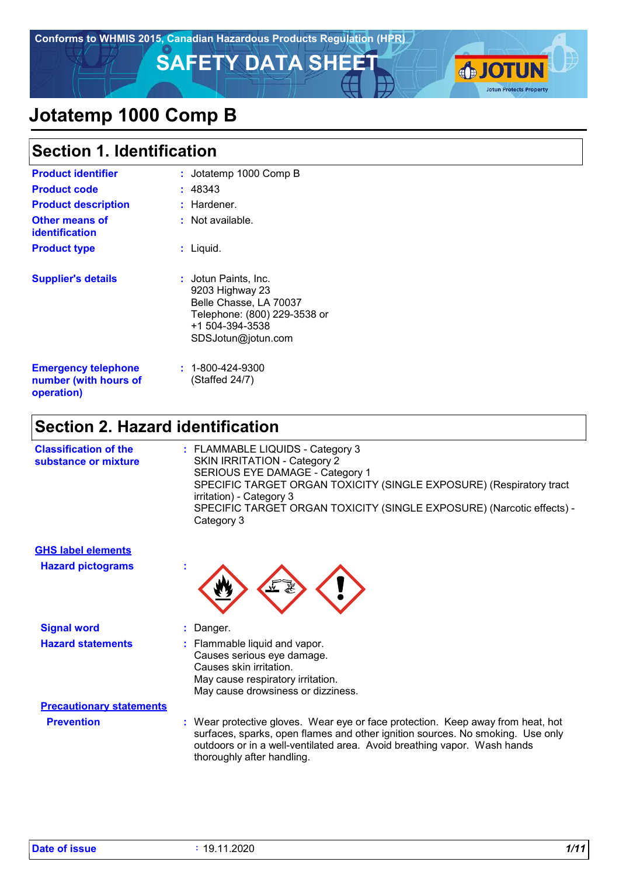**SAFETY DATA SHEET AND TUNITED SAFETY DATA SHEET** 



# **Jotatemp 1000 Comp B**

| <b>Section 1. Identification</b>        |                                                                                                                                            |  |
|-----------------------------------------|--------------------------------------------------------------------------------------------------------------------------------------------|--|
| <b>Product identifier</b>               | : Jotatemp 1000 Comp B                                                                                                                     |  |
| <b>Product code</b>                     | : 48343                                                                                                                                    |  |
| <b>Product description</b>              | : Hardener.                                                                                                                                |  |
| <b>Other means of</b><br>identification | : Not available.                                                                                                                           |  |
| <b>Product type</b>                     | : Liquid.                                                                                                                                  |  |
| <b>Supplier's details</b>               | : Jotun Paints, Inc.<br>9203 Highway 23<br>Belle Chasse, LA 70037<br>Telephone: (800) 229-3538 or<br>+1 504-394-3538<br>SDSJotun@jotun.com |  |

| <b>Emergency telephone</b><br>number (with hours of<br>operation) | $: 1 - 800 - 424 - 9300$<br>(Staffed 24/7) |  |
|-------------------------------------------------------------------|--------------------------------------------|--|
|-------------------------------------------------------------------|--------------------------------------------|--|

### **Section 2. Hazard identification**

| <b>Classification of the</b><br>substance or mixture | : FLAMMABLE LIQUIDS - Category 3<br>SKIN IRRITATION - Category 2                                |
|------------------------------------------------------|-------------------------------------------------------------------------------------------------|
|                                                      | SERIOUS EYE DAMAGE - Category 1                                                                 |
|                                                      | SPECIFIC TARGET ORGAN TOXICITY (SINGLE EXPOSURE) (Respiratory tract<br>irritation) - Category 3 |
|                                                      | SPECIFIC TARGET ORGAN TOXICITY (SINGLE EXPOSURE) (Narcotic effects) -<br>Category 3             |
|                                                      |                                                                                                 |



| <b>Signal word</b>              | Danger.                                                                                                                                                                                                                                       |
|---------------------------------|-----------------------------------------------------------------------------------------------------------------------------------------------------------------------------------------------------------------------------------------------|
| <b>Hazard statements</b>        | : Flammable liquid and vapor.<br>Causes serious eye damage.<br>Causes skin irritation.<br>May cause respiratory irritation.<br>May cause drowsiness or dizziness.                                                                             |
| <b>Precautionary statements</b> |                                                                                                                                                                                                                                               |
| <b>Prevention</b>               | : Wear protective gloves. Wear eye or face protection. Keep away from heat, hot<br>surfaces, sparks, open flames and other ignition sources. No smoking. Use only<br>outdoors or in a well-ventilated area. Avoid breathing vapor. Wash hands |

**Hazard pictograms :**

**GHS label elements**

thoroughly after handling.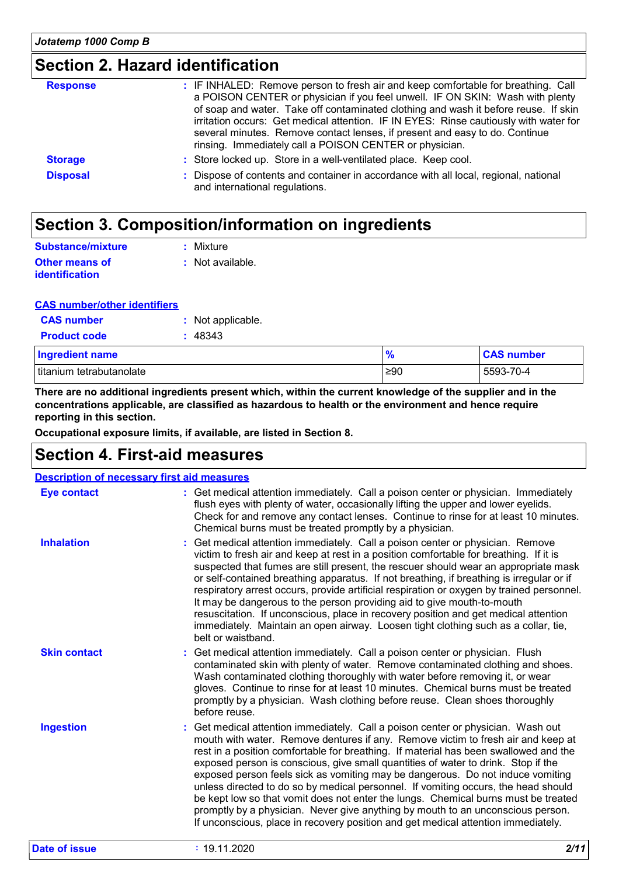### **Section 2. Hazard identification**

| <b>Response</b> | : IF INHALED: Remove person to fresh air and keep comfortable for breathing. Call<br>a POISON CENTER or physician if you feel unwell. IF ON SKIN: Wash with plenty<br>of soap and water. Take off contaminated clothing and wash it before reuse. If skin<br>irritation occurs: Get medical attention. IF IN EYES: Rinse cautiously with water for<br>several minutes. Remove contact lenses, if present and easy to do. Continue<br>rinsing. Immediately call a POISON CENTER or physician. |
|-----------------|----------------------------------------------------------------------------------------------------------------------------------------------------------------------------------------------------------------------------------------------------------------------------------------------------------------------------------------------------------------------------------------------------------------------------------------------------------------------------------------------|
| <b>Storage</b>  | : Store locked up. Store in a well-ventilated place. Keep cool.                                                                                                                                                                                                                                                                                                                                                                                                                              |
| <b>Disposal</b> | : Dispose of contents and container in accordance with all local, regional, national<br>and international regulations.                                                                                                                                                                                                                                                                                                                                                                       |

### **Section 3. Composition/information on ingredients**

| Substance/mixture                       | : Mixture        |
|-----------------------------------------|------------------|
| Other means of<br><b>identification</b> | : Not available. |

#### **CAS number/other identifiers**

| <b>CAS</b> number      | : Not applicable. |
|------------------------|-------------------|
| <b>Product code</b>    | : 48343           |
| <b>Ingredient name</b> |                   |

| <b>Ingredient name</b>   | 70        | <b>CAS number</b> |
|--------------------------|-----------|-------------------|
| titanium tetrabutanolate | $\geq 90$ | 5593-70-4         |

**There are no additional ingredients present which, within the current knowledge of the supplier and in the concentrations applicable, are classified as hazardous to health or the environment and hence require reporting in this section.**

**Occupational exposure limits, if available, are listed in Section 8.**

### **Section 4. First-aid measures**

|                      | <b>Description of necessary first aid measures</b>                                                                                                                                                                                                                                                                                                                                                                                                                                                                                                                                                                                                                                                                                                                                      |
|----------------------|-----------------------------------------------------------------------------------------------------------------------------------------------------------------------------------------------------------------------------------------------------------------------------------------------------------------------------------------------------------------------------------------------------------------------------------------------------------------------------------------------------------------------------------------------------------------------------------------------------------------------------------------------------------------------------------------------------------------------------------------------------------------------------------------|
| <b>Eye contact</b>   | : Get medical attention immediately. Call a poison center or physician. Immediately<br>flush eyes with plenty of water, occasionally lifting the upper and lower eyelids.<br>Check for and remove any contact lenses. Continue to rinse for at least 10 minutes.<br>Chemical burns must be treated promptly by a physician.                                                                                                                                                                                                                                                                                                                                                                                                                                                             |
| <b>Inhalation</b>    | : Get medical attention immediately. Call a poison center or physician. Remove<br>victim to fresh air and keep at rest in a position comfortable for breathing. If it is<br>suspected that fumes are still present, the rescuer should wear an appropriate mask<br>or self-contained breathing apparatus. If not breathing, if breathing is irregular or if<br>respiratory arrest occurs, provide artificial respiration or oxygen by trained personnel.<br>It may be dangerous to the person providing aid to give mouth-to-mouth<br>resuscitation. If unconscious, place in recovery position and get medical attention<br>immediately. Maintain an open airway. Loosen tight clothing such as a collar, tie,<br>belt or waistband.                                                   |
| <b>Skin contact</b>  | : Get medical attention immediately. Call a poison center or physician. Flush<br>contaminated skin with plenty of water. Remove contaminated clothing and shoes.<br>Wash contaminated clothing thoroughly with water before removing it, or wear<br>gloves. Continue to rinse for at least 10 minutes. Chemical burns must be treated<br>promptly by a physician. Wash clothing before reuse. Clean shoes thoroughly<br>before reuse.                                                                                                                                                                                                                                                                                                                                                   |
| <b>Ingestion</b>     | : Get medical attention immediately. Call a poison center or physician. Wash out<br>mouth with water. Remove dentures if any. Remove victim to fresh air and keep at<br>rest in a position comfortable for breathing. If material has been swallowed and the<br>exposed person is conscious, give small quantities of water to drink. Stop if the<br>exposed person feels sick as vomiting may be dangerous. Do not induce vomiting<br>unless directed to do so by medical personnel. If vomiting occurs, the head should<br>be kept low so that vomit does not enter the lungs. Chemical burns must be treated<br>promptly by a physician. Never give anything by mouth to an unconscious person.<br>If unconscious, place in recovery position and get medical attention immediately. |
| <b>Date of issue</b> | 2/11<br>: 19.11.2020                                                                                                                                                                                                                                                                                                                                                                                                                                                                                                                                                                                                                                                                                                                                                                    |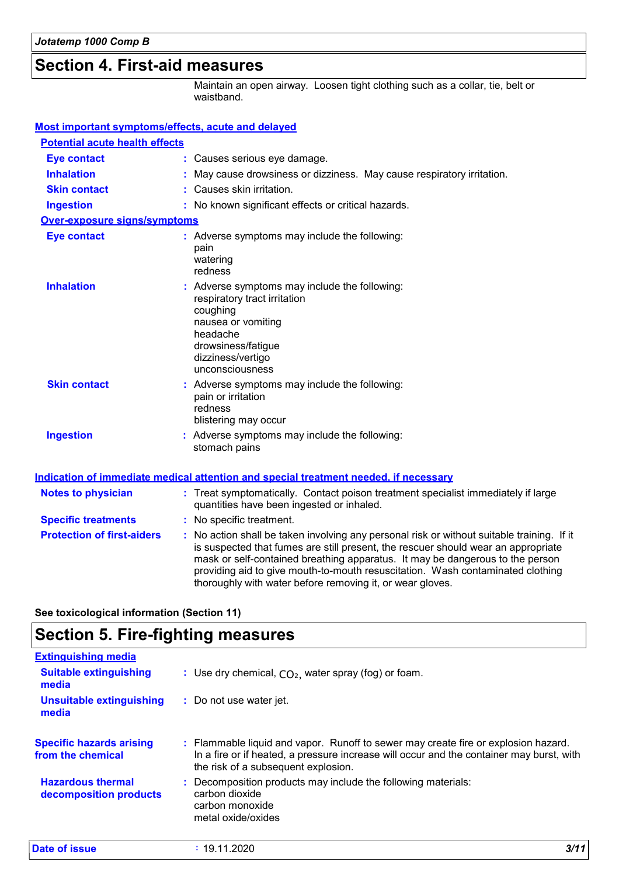### **Section 4. First-aid measures**

Maintain an open airway. Loosen tight clothing such as a collar, tie, belt or waistband.

| Most important symptoms/effects, acute and delayed |                                                                                                                                                                                                                                                                                                                                                                                                                 |  |
|----------------------------------------------------|-----------------------------------------------------------------------------------------------------------------------------------------------------------------------------------------------------------------------------------------------------------------------------------------------------------------------------------------------------------------------------------------------------------------|--|
| <b>Potential acute health effects</b>              |                                                                                                                                                                                                                                                                                                                                                                                                                 |  |
| <b>Eye contact</b>                                 | : Causes serious eye damage.                                                                                                                                                                                                                                                                                                                                                                                    |  |
| <b>Inhalation</b>                                  | May cause drowsiness or dizziness. May cause respiratory irritation.                                                                                                                                                                                                                                                                                                                                            |  |
| <b>Skin contact</b>                                | : Causes skin irritation.                                                                                                                                                                                                                                                                                                                                                                                       |  |
| <b>Ingestion</b>                                   | : No known significant effects or critical hazards.                                                                                                                                                                                                                                                                                                                                                             |  |
| Over-exposure signs/symptoms                       |                                                                                                                                                                                                                                                                                                                                                                                                                 |  |
| <b>Eye contact</b>                                 | : Adverse symptoms may include the following:<br>pain<br>watering<br>redness                                                                                                                                                                                                                                                                                                                                    |  |
| <b>Inhalation</b>                                  | : Adverse symptoms may include the following:<br>respiratory tract irritation<br>coughing<br>nausea or vomiting<br>headache<br>drowsiness/fatigue<br>dizziness/vertigo<br>unconsciousness                                                                                                                                                                                                                       |  |
| <b>Skin contact</b>                                | : Adverse symptoms may include the following:<br>pain or irritation<br>redness<br>blistering may occur                                                                                                                                                                                                                                                                                                          |  |
| <b>Ingestion</b>                                   | : Adverse symptoms may include the following:<br>stomach pains                                                                                                                                                                                                                                                                                                                                                  |  |
|                                                    | Indication of immediate medical attention and special treatment needed, if necessary                                                                                                                                                                                                                                                                                                                            |  |
| <b>Notes to physician</b>                          | : Treat symptomatically. Contact poison treatment specialist immediately if large<br>quantities have been ingested or inhaled.                                                                                                                                                                                                                                                                                  |  |
| <b>Specific treatments</b>                         | : No specific treatment.                                                                                                                                                                                                                                                                                                                                                                                        |  |
| <b>Protection of first-aiders</b>                  | : No action shall be taken involving any personal risk or without suitable training. If it<br>is suspected that fumes are still present, the rescuer should wear an appropriate<br>mask or self-contained breathing apparatus. It may be dangerous to the person<br>providing aid to give mouth-to-mouth resuscitation. Wash contaminated clothing<br>thoroughly with water before removing it, or wear gloves. |  |

**See toxicological information (Section 11)**

### **Section 5. Fire-fighting measures**

| <b>Extinguishing media</b>                           |                                                                                                                                                                                                                       |     |
|------------------------------------------------------|-----------------------------------------------------------------------------------------------------------------------------------------------------------------------------------------------------------------------|-----|
| <b>Suitable extinguishing</b><br>media               | : Use dry chemical, $CO2$ , water spray (fog) or foam.                                                                                                                                                                |     |
| <b>Unsuitable extinguishing</b><br>media             | : Do not use water jet.                                                                                                                                                                                               |     |
| <b>Specific hazards arising</b><br>from the chemical | : Flammable liquid and vapor. Runoff to sewer may create fire or explosion hazard.<br>In a fire or if heated, a pressure increase will occur and the container may burst, with<br>the risk of a subsequent explosion. |     |
| <b>Hazardous thermal</b><br>decomposition products   | : Decomposition products may include the following materials:<br>carbon dioxide<br>carbon monoxide<br>metal oxide/oxides                                                                                              |     |
| Date of issue                                        | : 19.11.2020                                                                                                                                                                                                          | 3/1 |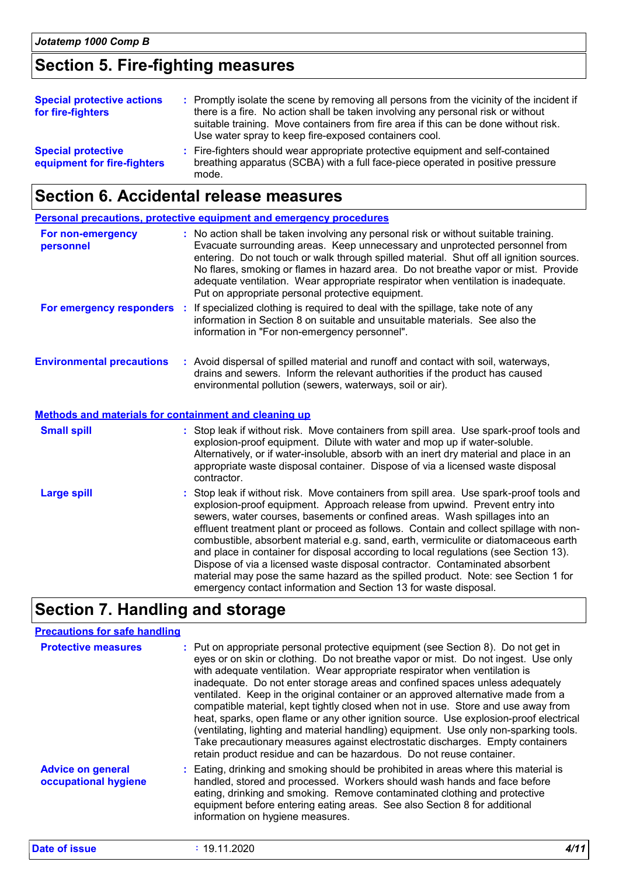### **Section 5. Fire-fighting measures**

| <b>Special protective actions</b><br>for fire-fighters   | : Promptly isolate the scene by removing all persons from the vicinity of the incident if<br>there is a fire. No action shall be taken involving any personal risk or without<br>suitable training. Move containers from fire area if this can be done without risk.<br>Use water spray to keep fire-exposed containers cool. |
|----------------------------------------------------------|-------------------------------------------------------------------------------------------------------------------------------------------------------------------------------------------------------------------------------------------------------------------------------------------------------------------------------|
| <b>Special protective</b><br>equipment for fire-fighters | : Fire-fighters should wear appropriate protective equipment and self-contained<br>breathing apparatus (SCBA) with a full face-piece operated in positive pressure<br>mode.                                                                                                                                                   |

### **Section 6. Accidental release measures**

|                                                              | <b>Personal precautions, protective equipment and emergency procedures</b>                                                                                                                                                                                                                                                                                                                                                                                                                                                                                                                                                                                                                                                                                            |
|--------------------------------------------------------------|-----------------------------------------------------------------------------------------------------------------------------------------------------------------------------------------------------------------------------------------------------------------------------------------------------------------------------------------------------------------------------------------------------------------------------------------------------------------------------------------------------------------------------------------------------------------------------------------------------------------------------------------------------------------------------------------------------------------------------------------------------------------------|
| For non-emergency<br>personnel                               | : No action shall be taken involving any personal risk or without suitable training.<br>Evacuate surrounding areas. Keep unnecessary and unprotected personnel from<br>entering. Do not touch or walk through spilled material. Shut off all ignition sources.<br>No flares, smoking or flames in hazard area. Do not breathe vapor or mist. Provide<br>adequate ventilation. Wear appropriate respirator when ventilation is inadequate.<br>Put on appropriate personal protective equipment.                                                                                                                                                                                                                                                                        |
| For emergency responders                                     | If specialized clothing is required to deal with the spillage, take note of any<br>- 1<br>information in Section 8 on suitable and unsuitable materials. See also the<br>information in "For non-emergency personnel".                                                                                                                                                                                                                                                                                                                                                                                                                                                                                                                                                |
| <b>Environmental precautions</b>                             | : Avoid dispersal of spilled material and runoff and contact with soil, waterways,<br>drains and sewers. Inform the relevant authorities if the product has caused<br>environmental pollution (sewers, waterways, soil or air).                                                                                                                                                                                                                                                                                                                                                                                                                                                                                                                                       |
| <b>Methods and materials for containment and cleaning up</b> |                                                                                                                                                                                                                                                                                                                                                                                                                                                                                                                                                                                                                                                                                                                                                                       |
| <b>Small spill</b>                                           | : Stop leak if without risk. Move containers from spill area. Use spark-proof tools and<br>explosion-proof equipment. Dilute with water and mop up if water-soluble.<br>Alternatively, or if water-insoluble, absorb with an inert dry material and place in an<br>appropriate waste disposal container. Dispose of via a licensed waste disposal<br>contractor.                                                                                                                                                                                                                                                                                                                                                                                                      |
| <b>Large spill</b>                                           | : Stop leak if without risk. Move containers from spill area. Use spark-proof tools and<br>explosion-proof equipment. Approach release from upwind. Prevent entry into<br>sewers, water courses, basements or confined areas. Wash spillages into an<br>effluent treatment plant or proceed as follows. Contain and collect spillage with non-<br>combustible, absorbent material e.g. sand, earth, vermiculite or diatomaceous earth<br>and place in container for disposal according to local regulations (see Section 13).<br>Dispose of via a licensed waste disposal contractor. Contaminated absorbent<br>material may pose the same hazard as the spilled product. Note: see Section 1 for<br>emergency contact information and Section 13 for waste disposal. |

### **Section 7. Handling and storage**

### **Precautions for safe handling**

| <b>Protective measures</b>                       | : Put on appropriate personal protective equipment (see Section 8). Do not get in<br>eyes or on skin or clothing. Do not breathe vapor or mist. Do not ingest. Use only<br>with adequate ventilation. Wear appropriate respirator when ventilation is<br>inadequate. Do not enter storage areas and confined spaces unless adequately<br>ventilated. Keep in the original container or an approved alternative made from a<br>compatible material, kept tightly closed when not in use. Store and use away from<br>heat, sparks, open flame or any other ignition source. Use explosion-proof electrical<br>(ventilating, lighting and material handling) equipment. Use only non-sparking tools.<br>Take precautionary measures against electrostatic discharges. Empty containers<br>retain product residue and can be hazardous. Do not reuse container. |
|--------------------------------------------------|-------------------------------------------------------------------------------------------------------------------------------------------------------------------------------------------------------------------------------------------------------------------------------------------------------------------------------------------------------------------------------------------------------------------------------------------------------------------------------------------------------------------------------------------------------------------------------------------------------------------------------------------------------------------------------------------------------------------------------------------------------------------------------------------------------------------------------------------------------------|
| <b>Advice on general</b><br>occupational hygiene | : Eating, drinking and smoking should be prohibited in areas where this material is<br>handled, stored and processed. Workers should wash hands and face before<br>eating, drinking and smoking. Remove contaminated clothing and protective<br>equipment before entering eating areas. See also Section 8 for additional<br>information on hygiene measures.                                                                                                                                                                                                                                                                                                                                                                                                                                                                                               |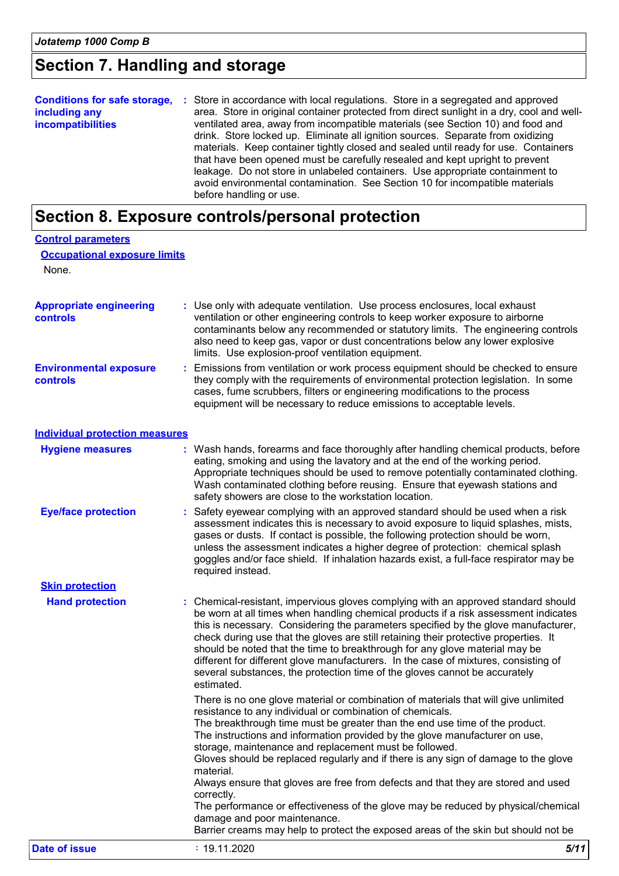### **Section 7. Handling and storage**

| <b>Conditions for safe storage,</b><br>including any<br><i>incompatibilities</i> | : Store in accordance with local regulations. Store in a segregated and approved<br>area. Store in original container protected from direct sunlight in a dry, cool and well-<br>ventilated area, away from incompatible materials (see Section 10) and food and<br>drink. Store locked up. Eliminate all ignition sources. Separate from oxidizing<br>materials. Keep container tightly closed and sealed until ready for use. Containers<br>that have been opened must be carefully resealed and kept upright to prevent<br>leakage. Do not store in unlabeled containers. Use appropriate containment to<br>avoid environmental contamination. See Section 10 for incompatible materials |
|----------------------------------------------------------------------------------|---------------------------------------------------------------------------------------------------------------------------------------------------------------------------------------------------------------------------------------------------------------------------------------------------------------------------------------------------------------------------------------------------------------------------------------------------------------------------------------------------------------------------------------------------------------------------------------------------------------------------------------------------------------------------------------------|
|                                                                                  | before handling or use.                                                                                                                                                                                                                                                                                                                                                                                                                                                                                                                                                                                                                                                                     |

# **Section 8. Exposure controls/personal protection**

| <b>Control parameters</b>                    |                                                                                                                                                                                                                                                                                                                                                                                                                                                                                                                                                                                                                                                                                                                                                                                            |
|----------------------------------------------|--------------------------------------------------------------------------------------------------------------------------------------------------------------------------------------------------------------------------------------------------------------------------------------------------------------------------------------------------------------------------------------------------------------------------------------------------------------------------------------------------------------------------------------------------------------------------------------------------------------------------------------------------------------------------------------------------------------------------------------------------------------------------------------------|
| <b>Occupational exposure limits</b><br>None. |                                                                                                                                                                                                                                                                                                                                                                                                                                                                                                                                                                                                                                                                                                                                                                                            |
| <b>Appropriate engineering</b><br>controls   | : Use only with adequate ventilation. Use process enclosures, local exhaust<br>ventilation or other engineering controls to keep worker exposure to airborne<br>contaminants below any recommended or statutory limits. The engineering controls<br>also need to keep gas, vapor or dust concentrations below any lower explosive<br>limits. Use explosion-proof ventilation equipment.                                                                                                                                                                                                                                                                                                                                                                                                    |
| <b>Environmental exposure</b><br>controls    | : Emissions from ventilation or work process equipment should be checked to ensure<br>they comply with the requirements of environmental protection legislation. In some<br>cases, fume scrubbers, filters or engineering modifications to the process<br>equipment will be necessary to reduce emissions to acceptable levels.                                                                                                                                                                                                                                                                                                                                                                                                                                                            |
| <b>Individual protection measures</b>        |                                                                                                                                                                                                                                                                                                                                                                                                                                                                                                                                                                                                                                                                                                                                                                                            |
| <b>Hygiene measures</b>                      | : Wash hands, forearms and face thoroughly after handling chemical products, before<br>eating, smoking and using the lavatory and at the end of the working period.<br>Appropriate techniques should be used to remove potentially contaminated clothing.<br>Wash contaminated clothing before reusing. Ensure that eyewash stations and<br>safety showers are close to the workstation location.                                                                                                                                                                                                                                                                                                                                                                                          |
| <b>Eye/face protection</b>                   | : Safety eyewear complying with an approved standard should be used when a risk<br>assessment indicates this is necessary to avoid exposure to liquid splashes, mists,<br>gases or dusts. If contact is possible, the following protection should be worn,<br>unless the assessment indicates a higher degree of protection: chemical splash<br>goggles and/or face shield. If inhalation hazards exist, a full-face respirator may be<br>required instead.                                                                                                                                                                                                                                                                                                                                |
| <b>Skin protection</b>                       |                                                                                                                                                                                                                                                                                                                                                                                                                                                                                                                                                                                                                                                                                                                                                                                            |
| <b>Hand protection</b>                       | : Chemical-resistant, impervious gloves complying with an approved standard should<br>be worn at all times when handling chemical products if a risk assessment indicates<br>this is necessary. Considering the parameters specified by the glove manufacturer,<br>check during use that the gloves are still retaining their protective properties. It<br>should be noted that the time to breakthrough for any glove material may be<br>different for different glove manufacturers. In the case of mixtures, consisting of<br>several substances, the protection time of the gloves cannot be accurately<br>estimated.                                                                                                                                                                  |
|                                              | There is no one glove material or combination of materials that will give unlimited<br>resistance to any individual or combination of chemicals.<br>The breakthrough time must be greater than the end use time of the product.<br>The instructions and information provided by the glove manufacturer on use,<br>storage, maintenance and replacement must be followed.<br>Gloves should be replaced regularly and if there is any sign of damage to the glove<br>material.<br>Always ensure that gloves are free from defects and that they are stored and used<br>correctly.<br>The performance or effectiveness of the glove may be reduced by physical/chemical<br>damage and poor maintenance.<br>Barrier creams may help to protect the exposed areas of the skin but should not be |
| <b>Date of issue</b>                         | : 19.11.2020<br>5/11                                                                                                                                                                                                                                                                                                                                                                                                                                                                                                                                                                                                                                                                                                                                                                       |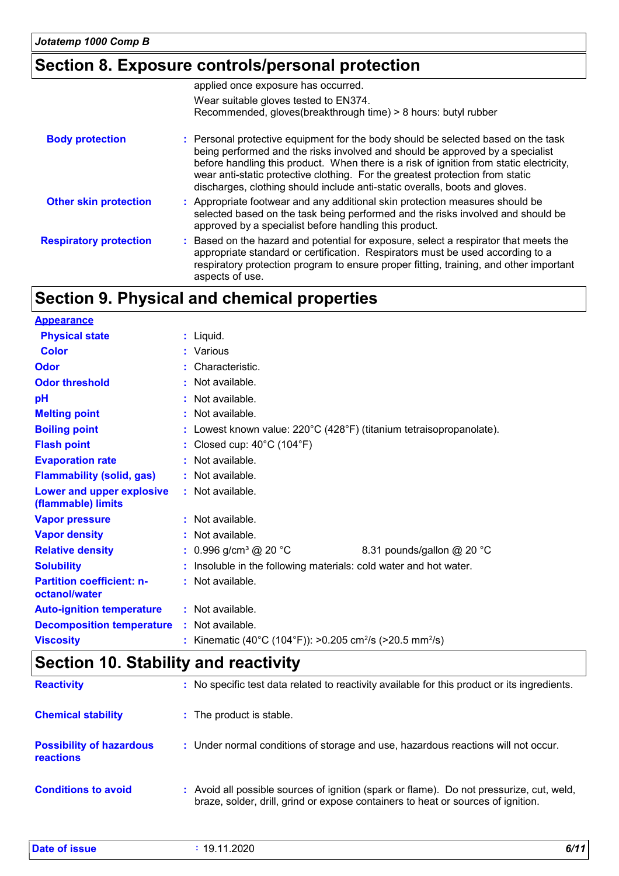# **Section 8. Exposure controls/personal protection**

|                               | applied once exposure has occurred.                                                                                                                                                                                                                                                                                                                                                                                           |
|-------------------------------|-------------------------------------------------------------------------------------------------------------------------------------------------------------------------------------------------------------------------------------------------------------------------------------------------------------------------------------------------------------------------------------------------------------------------------|
|                               | Wear suitable gloves tested to EN374.                                                                                                                                                                                                                                                                                                                                                                                         |
|                               | Recommended, gloves(breakthrough time) > 8 hours: butyl rubber                                                                                                                                                                                                                                                                                                                                                                |
| <b>Body protection</b>        | : Personal protective equipment for the body should be selected based on the task<br>being performed and the risks involved and should be approved by a specialist<br>before handling this product. When there is a risk of ignition from static electricity,<br>wear anti-static protective clothing. For the greatest protection from static<br>discharges, clothing should include anti-static overalls, boots and gloves. |
| <b>Other skin protection</b>  | : Appropriate footwear and any additional skin protection measures should be<br>selected based on the task being performed and the risks involved and should be<br>approved by a specialist before handling this product.                                                                                                                                                                                                     |
| <b>Respiratory protection</b> | Based on the hazard and potential for exposure, select a respirator that meets the<br>appropriate standard or certification. Respirators must be used according to a<br>respiratory protection program to ensure proper fitting, training, and other important<br>aspects of use.                                                                                                                                             |

# **Section 9. Physical and chemical properties**

| <b>Appearance</b>                                 |                                                                                  |                            |
|---------------------------------------------------|----------------------------------------------------------------------------------|----------------------------|
| <b>Physical state</b>                             | $:$ Liquid.                                                                      |                            |
| <b>Color</b>                                      | : Various                                                                        |                            |
| Odor                                              | : Characteristic.                                                                |                            |
| <b>Odor threshold</b>                             | : Not available.                                                                 |                            |
| pH                                                | $:$ Not available.                                                               |                            |
| <b>Melting point</b>                              | : Not available.                                                                 |                            |
| <b>Boiling point</b>                              | : Lowest known value: 220°C (428°F) (titanium tetraisopropanolate).              |                            |
| <b>Flash point</b>                                | : Closed cup: $40^{\circ}$ C (104 $^{\circ}$ F)                                  |                            |
| <b>Evaporation rate</b>                           | : Not available.                                                                 |                            |
| <b>Flammability (solid, gas)</b>                  | : Not available.                                                                 |                            |
| Lower and upper explosive<br>(flammable) limits   | : Not available.                                                                 |                            |
| <b>Vapor pressure</b>                             | : Not available.                                                                 |                            |
| <b>Vapor density</b>                              | : Not available.                                                                 |                            |
| <b>Relative density</b>                           | : $0.996$ g/cm <sup>3</sup> @ 20 °C                                              | 8.31 pounds/gallon @ 20 °C |
| <b>Solubility</b>                                 | : Insoluble in the following materials: cold water and hot water.                |                            |
| <b>Partition coefficient: n-</b><br>octanol/water | : Not available.                                                                 |                            |
| <b>Auto-ignition temperature</b>                  | : Not available.                                                                 |                            |
| <b>Decomposition temperature</b>                  | : Not available.                                                                 |                            |
| <b>Viscosity</b>                                  | : Kinematic (40°C (104°F)): >0.205 cm <sup>2</sup> /s (>20.5 mm <sup>2</sup> /s) |                            |

# **Section 10. Stability and reactivity**

| <b>Reactivity</b>                                   | : No specific test data related to reactivity available for this product or its ingredients.                                                                                 |
|-----------------------------------------------------|------------------------------------------------------------------------------------------------------------------------------------------------------------------------------|
| <b>Chemical stability</b>                           | : The product is stable.                                                                                                                                                     |
| <b>Possibility of hazardous</b><br><b>reactions</b> | : Under normal conditions of storage and use, hazardous reactions will not occur.                                                                                            |
| <b>Conditions to avoid</b>                          | : Avoid all possible sources of ignition (spark or flame). Do not pressurize, cut, weld,<br>braze, solder, drill, grind or expose containers to heat or sources of ignition. |

| Date of issue | 19.11.2020 | 6/11 |
|---------------|------------|------|
|               |            |      |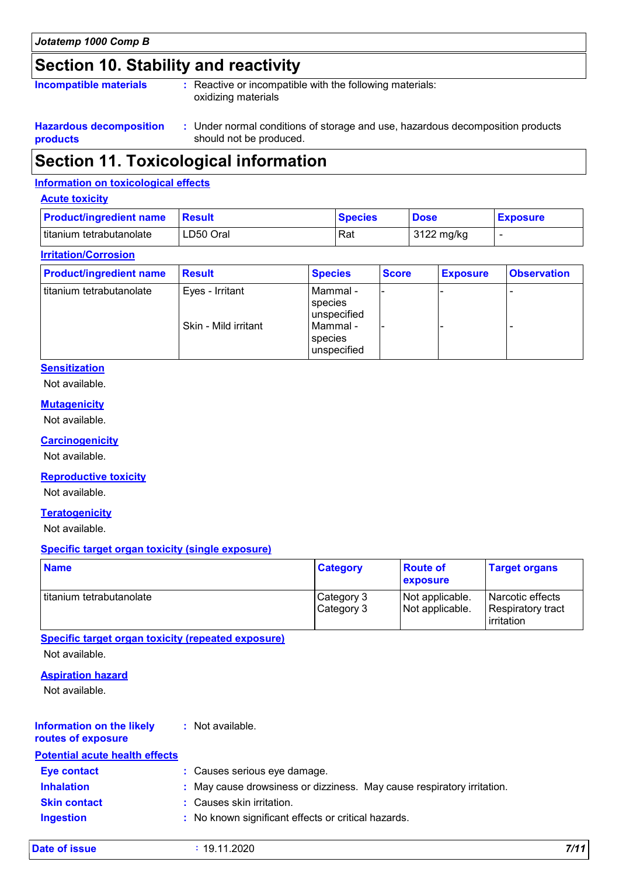### **Section 10. Stability and reactivity**

| <b>Incompatible materials</b> | : Reactive or incompatible with the following materials:<br>oxidizing materials |
|-------------------------------|---------------------------------------------------------------------------------|
|                               |                                                                                 |

#### **Hazardous decomposition products**

Under normal conditions of storage and use, hazardous decomposition products **:** should not be produced.

### **Section 11. Toxicological information**

#### **Information on toxicological effects**

#### **Acute toxicity**

| <b>Product/ingredient name Result</b> |           | <b>Species</b> | <b>Dose</b> | <b>Exposure</b> |
|---------------------------------------|-----------|----------------|-------------|-----------------|
| titanium tetrabutanolate              | LD50 Oral | Rat            | 3122 mg/kg  |                 |

#### **Irritation/Corrosion**

| <b>Product/ingredient name</b> | <b>Result</b>        | <b>Species</b>                       | <b>Score</b> | <b>Exposure</b> | <b>Observation</b> |
|--------------------------------|----------------------|--------------------------------------|--------------|-----------------|--------------------|
| I titanium tetrabutanolate     | Eyes - Irritant      | l Mammal -<br>species<br>unspecified | -            |                 |                    |
|                                | Skin - Mild irritant | Mammal -<br>species<br>unspecified   |              |                 |                    |

#### **Sensitization**

Not available.

#### **Mutagenicity**

Not available.

#### **Carcinogenicity**

Not available.

#### **Reproductive toxicity**

Not available.

#### **Teratogenicity**

Not available.

#### **Specific target organ toxicity (single exposure)**

| <b>Name</b>                | <b>Category</b>          | <b>Route of</b><br><b>exposure</b> | <b>Target organs</b>                                         |
|----------------------------|--------------------------|------------------------------------|--------------------------------------------------------------|
| l titanium tetrabutanolate | Category 3<br>Category 3 | Not applicable.<br>Not applicable. | Narcotic effects<br>Respiratory tract<br><b>l</b> irritation |

#### **Specific target organ toxicity (repeated exposure)**

Not available.

#### **Aspiration hazard**

Not available.

#### **Information on the likely :** Not available.

### **routes of exposure**

| <b>Potential acute health effects</b> |                                                                        |  |
|---------------------------------------|------------------------------------------------------------------------|--|
| Eye contact                           | : Causes serious eye damage.                                           |  |
| <b>Inhalation</b>                     | : May cause drowsiness or dizziness. May cause respiratory irritation. |  |
| <b>Skin contact</b>                   | : Causes skin irritation.                                              |  |
| <b>Ingestion</b>                      | : No known significant effects or critical hazards.                    |  |

|  | Date of issue |  |
|--|---------------|--|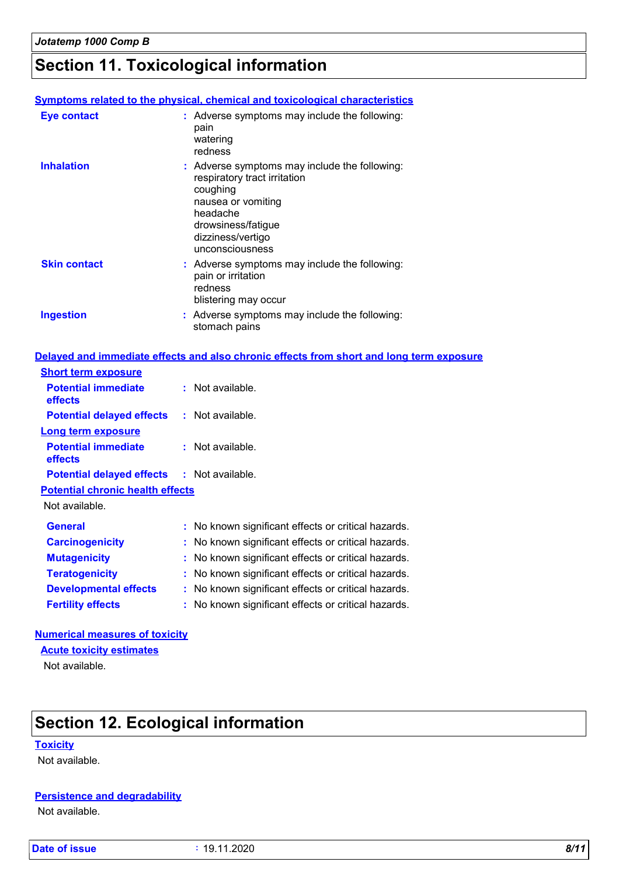### **Section 11. Toxicological information**

#### **Symptoms related to the physical, chemical and toxicological characteristics**

| Eye contact         | : Adverse symptoms may include the following:<br>pain<br>watering<br>redness                                                                                                              |
|---------------------|-------------------------------------------------------------------------------------------------------------------------------------------------------------------------------------------|
| <b>Inhalation</b>   | : Adverse symptoms may include the following:<br>respiratory tract irritation<br>coughing<br>nausea or vomiting<br>headache<br>drowsiness/fatigue<br>dizziness/vertigo<br>unconsciousness |
| <b>Skin contact</b> | : Adverse symptoms may include the following:<br>pain or irritation<br>redness<br>blistering may occur                                                                                    |
| <b>Ingestion</b>    | : Adverse symptoms may include the following:<br>stomach pains                                                                                                                            |

#### **Delayed and immediate effects and also chronic effects from short and long term exposure**

| <b>Short term exposure</b>                        |                                                     |  |
|---------------------------------------------------|-----------------------------------------------------|--|
| <b>Potential immediate</b><br>effects             | : Not available.                                    |  |
| <b>Potential delayed effects</b>                  | : Not available.                                    |  |
| Long term exposure                                |                                                     |  |
| <b>Potential immediate</b><br>effects             | : Not available.                                    |  |
| <b>Potential delayed effects : Not available.</b> |                                                     |  |
| <b>Potential chronic health effects</b>           |                                                     |  |
| Not available.                                    |                                                     |  |
| <b>General</b>                                    | : No known significant effects or critical hazards. |  |
| <b>Carcinogenicity</b>                            | : No known significant effects or critical hazards. |  |
| <b>Mutagenicity</b>                               | : No known significant effects or critical hazards. |  |
| <b>Teratogenicity</b>                             | : No known significant effects or critical hazards. |  |
| <b>Developmental effects</b>                      | : No known significant effects or critical hazards. |  |
| <b>Fertility effects</b>                          | : No known significant effects or critical hazards. |  |

### **Numerical measures of toxicity**

Not available. **Acute toxicity estimates**

### **Section 12. Ecological information**

#### **Toxicity**

Not available.

#### **Persistence and degradability**

Not available.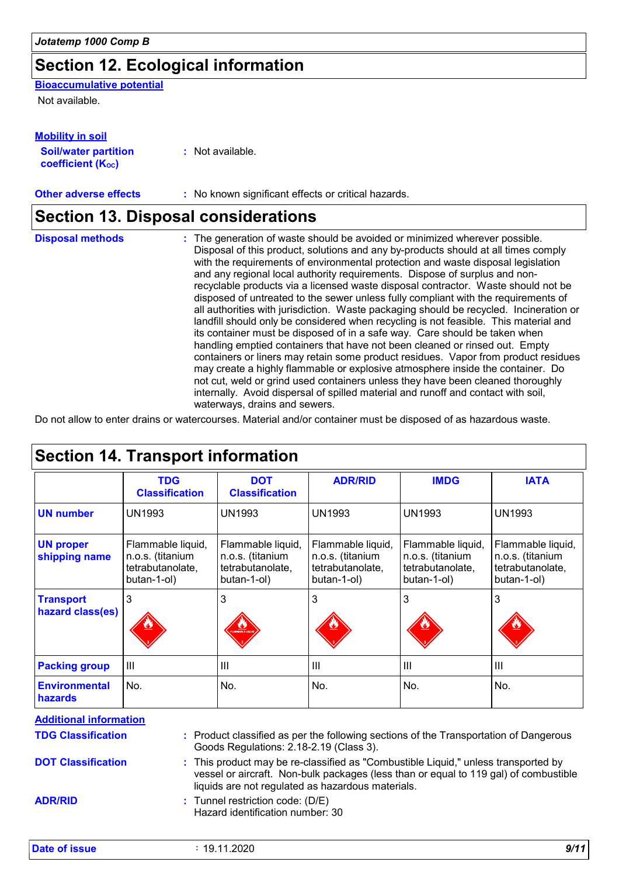### **Section 12. Ecological information**

### **Bioaccumulative potential**

Not available.

| <b>Mobility in soil</b>                                 |                  |
|---------------------------------------------------------|------------------|
| <b>Soil/water partition</b><br><b>coefficient (Koc)</b> | : Not available. |

**Other adverse effects** : No known significant effects or critical hazards.

### **Section 13. Disposal considerations**

| <b>Disposal methods</b> | : The generation of waste should be avoided or minimized wherever possible.<br>Disposal of this product, solutions and any by-products should at all times comply                                                                                                                                                                                                                                                                   |
|-------------------------|-------------------------------------------------------------------------------------------------------------------------------------------------------------------------------------------------------------------------------------------------------------------------------------------------------------------------------------------------------------------------------------------------------------------------------------|
|                         | with the requirements of environmental protection and waste disposal legislation<br>and any regional local authority requirements. Dispose of surplus and non-<br>recyclable products via a licensed waste disposal contractor. Waste should not be<br>disposed of untreated to the sewer unless fully compliant with the requirements of<br>all authorities with jurisdiction. Waste packaging should be recycled. Incineration or |
|                         | landfill should only be considered when recycling is not feasible. This material and<br>its container must be disposed of in a safe way. Care should be taken when                                                                                                                                                                                                                                                                  |
|                         | handling emptied containers that have not been cleaned or rinsed out. Empty<br>containers or liners may retain some product residues. Vapor from product residues<br>may create a highly flammable or explosive atmosphere inside the container. Do<br>not cut, weld or grind used containers unless they have been cleaned thoroughly                                                                                              |
|                         | internally. Avoid dispersal of spilled material and runoff and contact with soil,<br>waterways, drains and sewers.                                                                                                                                                                                                                                                                                                                  |

Do not allow to enter drains or watercourses. Material and/or container must be disposed of as hazardous waste.

|                                      | <b>TDG</b><br><b>Classification</b>                                      | <b>DOT</b><br><b>Classification</b>                                      | <b>ADR/RID</b>                                                           | <b>IMDG</b>                                                              | <b>IATA</b>                                                              |
|--------------------------------------|--------------------------------------------------------------------------|--------------------------------------------------------------------------|--------------------------------------------------------------------------|--------------------------------------------------------------------------|--------------------------------------------------------------------------|
| <b>UN number</b>                     | <b>UN1993</b>                                                            | <b>UN1993</b>                                                            | <b>UN1993</b>                                                            | <b>UN1993</b>                                                            | <b>UN1993</b>                                                            |
| <b>UN proper</b><br>shipping name    | Flammable liquid,<br>n.o.s. (titanium<br>tetrabutanolate,<br>butan-1-ol) | Flammable liquid,<br>n.o.s. (titanium<br>tetrabutanolate,<br>butan-1-ol) | Flammable liquid,<br>n.o.s. (titanium<br>tetrabutanolate,<br>butan-1-ol) | Flammable liquid,<br>n.o.s. (titanium<br>tetrabutanolate,<br>butan-1-ol) | Flammable liquid,<br>n.o.s. (titanium<br>tetrabutanolate,<br>butan-1-ol) |
| <b>Transport</b><br>hazard class(es) | 3                                                                        | 3                                                                        | 3                                                                        | 3                                                                        | 3                                                                        |
| <b>Packing group</b>                 | III                                                                      | Ш                                                                        | III                                                                      | $\mathbf{III}$                                                           | $\mathbf{III}$                                                           |
| <b>Environmental</b><br>hazards      | No.                                                                      | No.                                                                      | No.                                                                      | No.                                                                      | No.                                                                      |

Goods Regulations: 2.18-2.19 (Class 3).

**DOT Classification**

**ADR/RID**

This product may be re-classified as "Combustible Liquid," unless transported by **:** vessel or aircraft. Non-bulk packages (less than or equal to 119 gal) of combustible liquids are not regulated as hazardous materials.

Tunnel restriction code: (D/E) **:** Hazard identification number: 30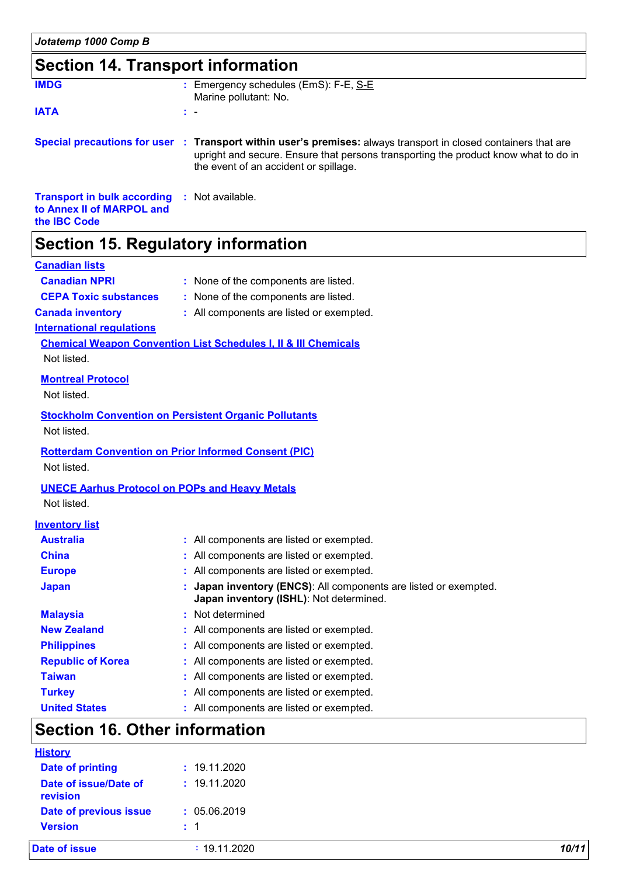### **Section 14. Transport information**

| <b>IMDG</b>                                                                                             | : Emergency schedules (EmS): F-E, S-E<br>Marine pollutant: No.                                                                                                                                                                                  |
|---------------------------------------------------------------------------------------------------------|-------------------------------------------------------------------------------------------------------------------------------------------------------------------------------------------------------------------------------------------------|
| <b>IATA</b>                                                                                             | t –                                                                                                                                                                                                                                             |
|                                                                                                         | Special precautions for user : Transport within user's premises: always transport in closed containers that are<br>upright and secure. Ensure that persons transporting the product know what to do in<br>the event of an accident or spillage. |
| <b>Transport in bulk according : Not available.</b><br>to Annex II of MARPOL and<br>the <b>IBC</b> Code |                                                                                                                                                                                                                                                 |

## **Section 15. Regulatory information**

#### **Canadian lists**

| <b>Canadian NPRI</b>                                  | : None of the components are listed.                                                                      |
|-------------------------------------------------------|-----------------------------------------------------------------------------------------------------------|
| <b>CEPA Toxic substances</b>                          | : None of the components are listed.                                                                      |
| <b>Canada inventory</b>                               | : All components are listed or exempted.                                                                  |
| <b>International regulations</b>                      |                                                                                                           |
|                                                       | <b>Chemical Weapon Convention List Schedules I, II &amp; III Chemicals</b>                                |
| Not listed.                                           |                                                                                                           |
| <b>Montreal Protocol</b>                              |                                                                                                           |
| Not listed.                                           |                                                                                                           |
|                                                       | <b>Stockholm Convention on Persistent Organic Pollutants</b>                                              |
| Not listed.                                           |                                                                                                           |
|                                                       | <b>Rotterdam Convention on Prior Informed Consent (PIC)</b>                                               |
| Not listed.                                           |                                                                                                           |
|                                                       |                                                                                                           |
| <b>UNECE Aarhus Protocol on POPs and Heavy Metals</b> |                                                                                                           |
| Not listed.                                           |                                                                                                           |
| <b>Inventory list</b>                                 |                                                                                                           |
| <b>Australia</b>                                      | : All components are listed or exempted.                                                                  |
| <b>China</b>                                          | : All components are listed or exempted.                                                                  |
| <b>Europe</b>                                         | : All components are listed or exempted.                                                                  |
| <b>Japan</b>                                          | Japan inventory (ENCS): All components are listed or exempted.<br>Japan inventory (ISHL): Not determined. |
| <b>Malaysia</b>                                       | : Not determined                                                                                          |
| <b>New Zealand</b>                                    | All components are listed or exempted.                                                                    |
| <b>Philippines</b>                                    | All components are listed or exempted.                                                                    |
| <b>Republic of Korea</b>                              | All components are listed or exempted.                                                                    |
| <b>Taiwan</b>                                         | All components are listed or exempted.                                                                    |
| <b>Turkey</b>                                         | : All components are listed or exempted.                                                                  |
| <b>United States</b>                                  | : All components are listed or exempted.                                                                  |

### **Section 16. Other information**

| <b>Date of issue</b>              | $\div$ 19.11.2020 | 10/11 |
|-----------------------------------|-------------------|-------|
| <b>Version</b>                    | $\pm$ 1           |       |
| Date of previous issue            | : 05.06.2019      |       |
| Date of issue/Date of<br>revision | : 19.11.2020      |       |
| Date of printing                  | : 19.11.2020      |       |
| <b>History</b>                    |                   |       |